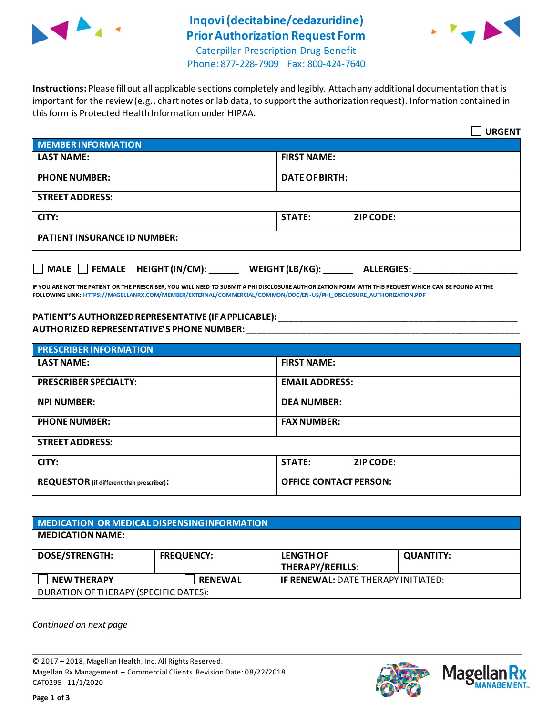

## **Inqovi(decitabine/cedazuridine) Prior Authorization Request Form**



Caterpillar Prescription Drug Benefit Phone: 877-228-7909 Fax: 800-424-7640

**Instructions:** Please fill out all applicable sections completely and legibly. Attach any additional documentation that is important for the review (e.g., chart notes or lab data, to support the authorization request). Information contained in this form is Protected Health Information under HIPAA.

|                                                                            | <b>URGENT</b>                     |  |  |
|----------------------------------------------------------------------------|-----------------------------------|--|--|
| <b>MEMBER INFORMATION</b>                                                  |                                   |  |  |
| <b>LAST NAME:</b>                                                          | <b>FIRST NAME:</b>                |  |  |
| <b>PHONE NUMBER:</b>                                                       | <b>DATE OF BIRTH:</b>             |  |  |
| <b>STREET ADDRESS:</b>                                                     |                                   |  |  |
| CITY:                                                                      | <b>STATE:</b><br><b>ZIP CODE:</b> |  |  |
| <b>PATIENT INSURANCE ID NUMBER:</b>                                        |                                   |  |  |
| MALE $\Box$ FEMALE HEIGHT (IN/CM):<br>WEIGHT (LB/KG):<br><b>ALLERGIES:</b> |                                   |  |  |

**IF YOU ARE NOT THE PATIENT OR THE PRESCRIBER, YOU WILL NEED TO SUBMIT A PHI DISCLOSURE AUTHORIZATION FORM WITH THIS REQUEST WHICH CAN BE FOUND AT THE FOLLOWING LINK[: HTTPS://MAGELLANRX.COM/MEMBER/EXTERNAL/COMMERCIAL/COMMON/DOC/EN-US/PHI\\_DISCLOSURE\\_AUTHORIZATION.PDF](https://magellanrx.com/member/external/commercial/common/doc/en-us/PHI_Disclosure_Authorization.pdf)**

## **PATIENT'S AUTHORIZED REPRESENTATIVE (IF APPLICABLE):** \_\_\_\_\_\_\_\_\_\_\_\_\_\_\_\_\_\_\_\_\_\_\_\_\_\_\_\_\_\_\_\_\_\_\_\_\_\_\_\_\_\_\_\_\_\_\_\_ **AUTHORIZED REPRESENTATIVE'S PHONE NUMBER:** \_\_\_\_\_\_\_\_\_\_\_\_\_\_\_\_\_\_\_\_\_\_\_\_\_\_\_\_\_\_\_\_\_\_\_\_\_\_\_\_\_\_\_\_\_\_\_\_\_\_\_\_\_\_\_

| <b>PRESCRIBER INFORMATION</b>             |                                   |  |  |  |
|-------------------------------------------|-----------------------------------|--|--|--|
| <b>LAST NAME:</b>                         | <b>FIRST NAME:</b>                |  |  |  |
| <b>PRESCRIBER SPECIALTY:</b>              | <b>EMAIL ADDRESS:</b>             |  |  |  |
| <b>NPI NUMBER:</b>                        | <b>DEA NUMBER:</b>                |  |  |  |
| <b>PHONE NUMBER:</b>                      | <b>FAX NUMBER:</b>                |  |  |  |
| <b>STREET ADDRESS:</b>                    |                                   |  |  |  |
| CITY:                                     | <b>STATE:</b><br><b>ZIP CODE:</b> |  |  |  |
| REQUESTOR (if different than prescriber): | <b>OFFICE CONTACT PERSON:</b>     |  |  |  |

| MEDICATION OR MEDICAL DISPENSING INFORMATION |                   |                                             |                  |  |  |
|----------------------------------------------|-------------------|---------------------------------------------|------------------|--|--|
| <b>MEDICATION NAME:</b>                      |                   |                                             |                  |  |  |
| <b>DOSE/STRENGTH:</b>                        | <b>FREQUENCY:</b> | <b>LENGTH OF</b><br><b>THERAPY/REFILLS:</b> | <b>QUANTITY:</b> |  |  |
| <b>NEW THERAPY</b>                           | <b>RENEWAL</b>    | <b>IF RENEWAL: DATE THERAPY INITIATED:</b>  |                  |  |  |
| DURATION OF THERAPY (SPECIFIC DATES):        |                   |                                             |                  |  |  |

*Continued on next page*

© 2017 – 2018, Magellan Health, Inc. All Rights Reserved. Magellan Rx Management – Commercial Clients. Revision Date: 08/22/2018 CAT0295 11/1/2020



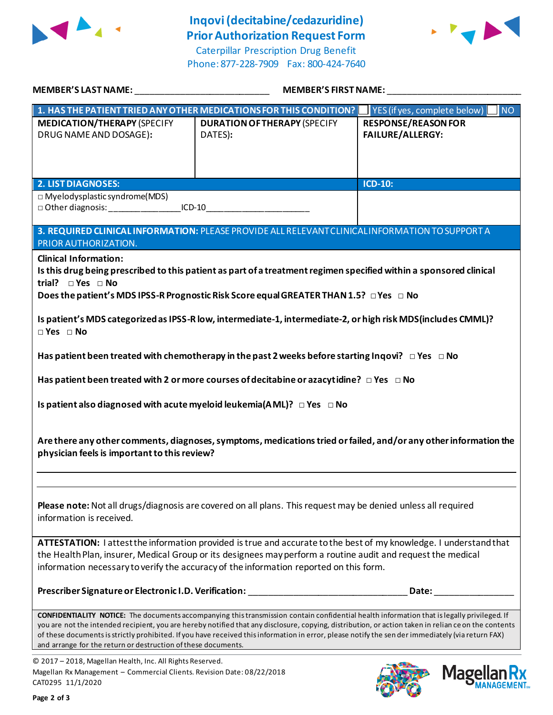

## **Inqovi(decitabine/cedazuridine) Prior Authorization Request Form**

Caterpillar Prescription Drug Benefit Phone: 877-228-7909 Fax: 800-424-7640



| MEMBER'S LAST NAME: __________________________________                                                                                                                                                                                                                                                                                                                                                                              | MEMBER'S FIRST NAME: __________                                                                                                                                                                                                                                                                                                                                                                                                                                 |                                                       |  |  |  |
|-------------------------------------------------------------------------------------------------------------------------------------------------------------------------------------------------------------------------------------------------------------------------------------------------------------------------------------------------------------------------------------------------------------------------------------|-----------------------------------------------------------------------------------------------------------------------------------------------------------------------------------------------------------------------------------------------------------------------------------------------------------------------------------------------------------------------------------------------------------------------------------------------------------------|-------------------------------------------------------|--|--|--|
|                                                                                                                                                                                                                                                                                                                                                                                                                                     | 1. HAS THE PATIENT TRIED ANY OTHER MEDICATIONS FOR THIS CONDITION?                                                                                                                                                                                                                                                                                                                                                                                              | $\blacksquare$ YES (if yes, complete below)<br>INO    |  |  |  |
| <b>MEDICATION/THERAPY (SPECIFY</b><br>DRUG NAME AND DOSAGE):                                                                                                                                                                                                                                                                                                                                                                        | <b>DURATION OF THERAPY (SPECIFY</b><br>DATES):                                                                                                                                                                                                                                                                                                                                                                                                                  | <b>RESPONSE/REASON FOR</b><br><b>FAILURE/ALLERGY:</b> |  |  |  |
|                                                                                                                                                                                                                                                                                                                                                                                                                                     |                                                                                                                                                                                                                                                                                                                                                                                                                                                                 |                                                       |  |  |  |
| <b>2. LIST DIAGNOSES:</b><br>ICD-10:<br>$\Box$ Myelodysplastic syndrome(MDS)<br>□ Other diagnosis: _________________________ICD-10_____________________________                                                                                                                                                                                                                                                                     |                                                                                                                                                                                                                                                                                                                                                                                                                                                                 |                                                       |  |  |  |
| 3. REQUIRED CLINICAL INFORMATION: PLEASE PROVIDE ALL RELEVANT CLINICAL INFORMATION TO SUPPORT A<br>PRIOR AUTHORIZATION.                                                                                                                                                                                                                                                                                                             |                                                                                                                                                                                                                                                                                                                                                                                                                                                                 |                                                       |  |  |  |
| <b>Clinical Information:</b><br>Is this drug being prescribed to this patient as part of a treatment regimen specified within a sponsored clinical<br>trial? $\square$ Yes $\square$ No<br>Does the patient's MDS IPSS-R Prognostic Risk Score equal GREATER THAN 1.5? $\Box$ Yes $\Box$ No<br>Is patient's MDS categorized as IPSS-R low, intermediate-1, intermediate-2, or high risk MDS(includes CMML)?<br>$\Box$ Yes $\Box$ No |                                                                                                                                                                                                                                                                                                                                                                                                                                                                 |                                                       |  |  |  |
| Has patient been treated with chemotherapy in the past 2 weeks before starting Inqovi? $\Box$ Yes $\Box$ No                                                                                                                                                                                                                                                                                                                         |                                                                                                                                                                                                                                                                                                                                                                                                                                                                 |                                                       |  |  |  |
| Has patient been treated with 2 or more courses of decitabine or azacytidine? $\Box$ Yes $\Box$ No                                                                                                                                                                                                                                                                                                                                  |                                                                                                                                                                                                                                                                                                                                                                                                                                                                 |                                                       |  |  |  |
| Is patient also diagnosed with acute myeloid leukemia(AML)? $\Box$ Yes $\Box$ No<br>Are there any other comments, diagnoses, symptoms, medications tried or failed, and/or any other information the<br>physician feels is important to this review?                                                                                                                                                                                |                                                                                                                                                                                                                                                                                                                                                                                                                                                                 |                                                       |  |  |  |
|                                                                                                                                                                                                                                                                                                                                                                                                                                     |                                                                                                                                                                                                                                                                                                                                                                                                                                                                 |                                                       |  |  |  |
| Please note: Not all drugs/diagnosis are covered on all plans. This request may be denied unless all required<br>information is received.                                                                                                                                                                                                                                                                                           |                                                                                                                                                                                                                                                                                                                                                                                                                                                                 |                                                       |  |  |  |
| ATTESTATION: I attest the information provided is true and accurate to the best of my knowledge. I understand that<br>the Health Plan, insurer, Medical Group or its designees may perform a routine audit and request the medical<br>information necessary to verify the accuracy of the information reported on this form.                                                                                                        |                                                                                                                                                                                                                                                                                                                                                                                                                                                                 |                                                       |  |  |  |
|                                                                                                                                                                                                                                                                                                                                                                                                                                     | Prescriber Signature or Electronic I.D. Verification: ___________________________                                                                                                                                                                                                                                                                                                                                                                               | Date:                                                 |  |  |  |
| and arrange for the return or destruction of these documents.                                                                                                                                                                                                                                                                                                                                                                       | <b>CONFIDENTIALITY NOTICE:</b> The documents accompanying this transmission contain confidential health information that is legally privileged. If<br>you are not the intended recipient, you are hereby notified that any disclosure, copying, distribution, or action taken in relian ce on the contents<br>of these documents is strictly prohibited. If you have received this information in error, please notify the sen der immediately (via return FAX) |                                                       |  |  |  |
| © 2017 - 2018, Magellan Health, Inc. All Rights Reserved.                                                                                                                                                                                                                                                                                                                                                                           |                                                                                                                                                                                                                                                                                                                                                                                                                                                                 |                                                       |  |  |  |

Magellan Rx Management – Commercial Clients. Revision Date: 08/22/2018 CAT0295 11/1/2020